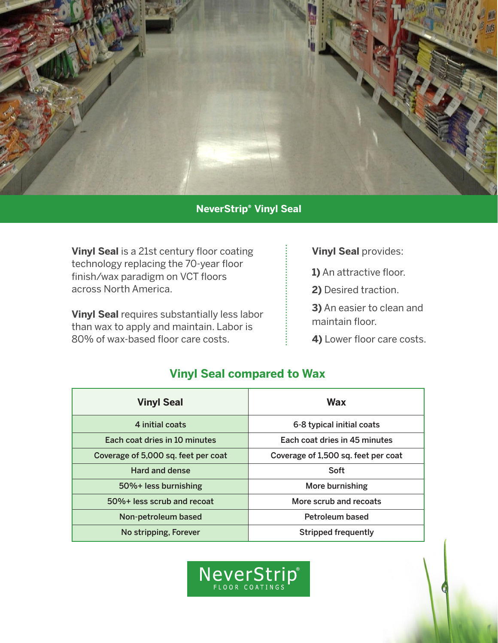

## **NeverStrip® Vinyl Seal**

**Vinyl Seal** is a 21st century floor coating technology replacing the 70-year floor finish/wax paradigm on VCT floors across North America.

**Vinyl Seal** requires substantially less labor than wax to apply and maintain. Labor is 80% of wax-based floor care costs.

**Vinyl Seal** provides:

**1)** An attractive floor.

**2)** Desired traction.

**3)** An easier to clean and maintain floor.

**4)** Lower floor care costs.

## **Vinyl Seal compared to Wax**

| <b>Vinyl Seal</b>                   | Wax                                 |
|-------------------------------------|-------------------------------------|
| 4 initial coats                     | 6-8 typical initial coats           |
| Each coat dries in 10 minutes       | Each coat dries in 45 minutes       |
| Coverage of 5,000 sq. feet per coat | Coverage of 1,500 sq. feet per coat |
| <b>Hard and dense</b>               | Soft                                |
| 50%+ less burnishing                | More burnishing                     |
| 50%+ less scrub and recoat          | More scrub and recoats              |
| Non-petroleum based                 | Petroleum based                     |
| No stripping, Forever               | <b>Stripped frequently</b>          |